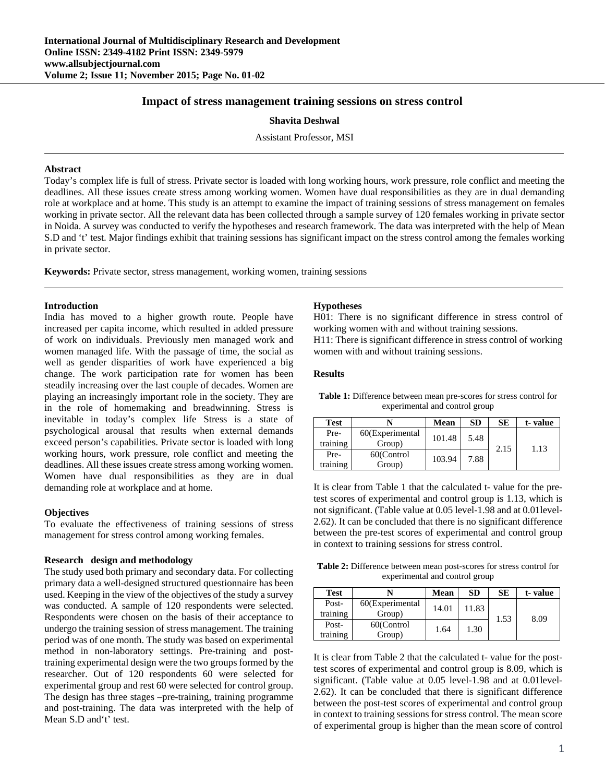# **Impact of stress management training sessions on stress control**

**Shavita Deshwal** 

Assistant Professor, MSI

#### **Abstract**

Today's complex life is full of stress. Private sector is loaded with long working hours, work pressure, role conflict and meeting the deadlines. All these issues create stress among working women. Women have dual responsibilities as they are in dual demanding role at workplace and at home. This study is an attempt to examine the impact of training sessions of stress management on females working in private sector. All the relevant data has been collected through a sample survey of 120 females working in private sector in Noida. A survey was conducted to verify the hypotheses and research framework. The data was interpreted with the help of Mean S.D and 't' test. Major findings exhibit that training sessions has significant impact on the stress control among the females working in private sector.

**Keywords:** Private sector, stress management, working women, training sessions

### **Introduction**

India has moved to a higher growth route. People have increased per capita income, which resulted in added pressure of work on individuals. Previously men managed work and women managed life. With the passage of time, the social as well as gender disparities of work have experienced a big change. The work participation rate for women has been steadily increasing over the last couple of decades. Women are playing an increasingly important role in the society. They are in the role of homemaking and breadwinning. Stress is inevitable in today's complex life Stress is a state of psychological arousal that results when external demands exceed person's capabilities. Private sector is loaded with long working hours, work pressure, role conflict and meeting the deadlines. All these issues create stress among working women. Women have dual responsibilities as they are in dual demanding role at workplace and at home.

## **Objectives**

To evaluate the effectiveness of training sessions of stress management for stress control among working females.

### **Research design and methodology**

The study used both primary and secondary data. For collecting primary data a well-designed structured questionnaire has been used. Keeping in the view of the objectives of the study a survey was conducted. A sample of 120 respondents were selected. Respondents were chosen on the basis of their acceptance to undergo the training session of stress management. The training period was of one month. The study was based on experimental method in non-laboratory settings. Pre-training and posttraining experimental design were the two groups formed by the researcher. Out of 120 respondents 60 were selected for experimental group and rest 60 were selected for control group. The design has three stages –pre-training, training programme and post-training. The data was interpreted with the help of Mean S.D and't' test.

#### **Hypotheses**

H01: There is no significant difference in stress control of working women with and without training sessions. H11: There is significant difference in stress control of working women with and without training sessions.

### **Results**

**Table 1:** Difference between mean pre-scores for stress control for experimental and control group

| <b>Test</b>      |                           | Mean   | <b>SD</b> | SЕ   | t-value |
|------------------|---------------------------|--------|-----------|------|---------|
| Pre-<br>training | 60(Experimental<br>Group) | 101.48 | 5.48      | 2.15 | 1.13    |
| Pre-<br>training | 60(Control<br>Group)      | 103.94 | 7.88      |      |         |

It is clear from Table 1 that the calculated t- value for the pretest scores of experimental and control group is 1.13, which is not significant. (Table value at 0.05 level-1.98 and at 0.01level-2.62). It can be concluded that there is no significant difference between the pre-test scores of experimental and control group in context to training sessions for stress control.

**Table 2:** Difference between mean post-scores for stress control for experimental and control group

| <b>Test</b> |                 | Mean           | <b>SD</b> | SЕ   | t-value |
|-------------|-----------------|----------------|-----------|------|---------|
| Post-       | 60(Experimental | 14.01<br>11.83 |           | 1.53 | 8.09    |
| training    | Group)          |                |           |      |         |
| Post-       | 60(Control      | 1.64           | 1.30      |      |         |
| training    | Group)          |                |           |      |         |

It is clear from Table 2 that the calculated t- value for the posttest scores of experimental and control group is 8.09, which is significant. (Table value at 0.05 level-1.98 and at 0.01level-2.62). It can be concluded that there is significant difference between the post-test scores of experimental and control group in context to training sessions for stress control. The mean score of experimental group is higher than the mean score of control